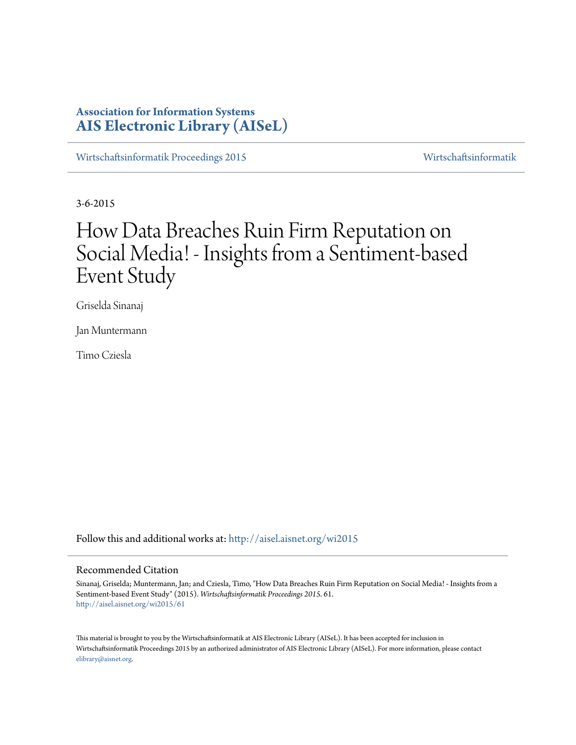# **Association for Information Systems [AIS Electronic Library \(AISeL\)](http://aisel.aisnet.org?utm_source=aisel.aisnet.org%2Fwi2015%2F61&utm_medium=PDF&utm_campaign=PDFCoverPages)**

[Wirtschaftsinformatik Proceedings 2015](http://aisel.aisnet.org/wi2015?utm_source=aisel.aisnet.org%2Fwi2015%2F61&utm_medium=PDF&utm_campaign=PDFCoverPages) [Wirtschaftsinformatik](http://aisel.aisnet.org/wi?utm_source=aisel.aisnet.org%2Fwi2015%2F61&utm_medium=PDF&utm_campaign=PDFCoverPages)

3-6-2015

# How Data Breaches Ruin Firm Reputation on Social Media! - Insights from a Sentiment-based Event Study

Griselda Sinanaj

Jan Muntermann

Timo Cziesla

Follow this and additional works at: [http://aisel.aisnet.org/wi2015](http://aisel.aisnet.org/wi2015?utm_source=aisel.aisnet.org%2Fwi2015%2F61&utm_medium=PDF&utm_campaign=PDFCoverPages)

## Recommended Citation

Sinanaj, Griselda; Muntermann, Jan; and Cziesla, Timo, "How Data Breaches Ruin Firm Reputation on Social Media! - Insights from a Sentiment-based Event Study" (2015). *Wirtschaftsinformatik Proceedings 2015*. 61. [http://aisel.aisnet.org/wi2015/61](http://aisel.aisnet.org/wi2015/61?utm_source=aisel.aisnet.org%2Fwi2015%2F61&utm_medium=PDF&utm_campaign=PDFCoverPages)

This material is brought to you by the Wirtschaftsinformatik at AIS Electronic Library (AISeL). It has been accepted for inclusion in Wirtschaftsinformatik Proceedings 2015 by an authorized administrator of AIS Electronic Library (AISeL). For more information, please contact [elibrary@aisnet.org.](mailto:elibrary@aisnet.org%3E)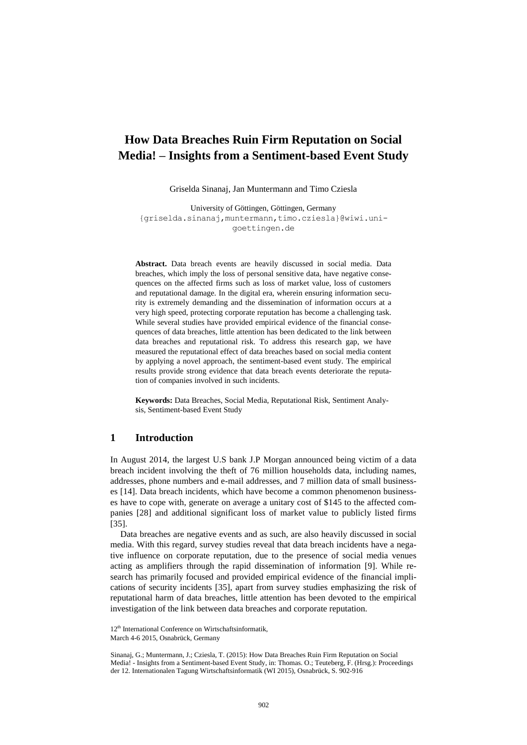## **How Data Breaches Ruin Firm Reputation on Social Media! – Insights from a Sentiment-based Event Study**

Griselda Sinanaj, Jan Muntermann and Timo Cziesla

University of Göttingen, Göttingen, Germany {griselda.sinanaj,muntermann,timo.cziesla}@wiwi.unigoettingen.de

**Abstract.** Data breach events are heavily discussed in social media. Data breaches, which imply the loss of personal sensitive data, have negative consequences on the affected firms such as loss of market value, loss of customers and reputational damage. In the digital era, wherein ensuring information security is extremely demanding and the dissemination of information occurs at a very high speed, protecting corporate reputation has become a challenging task. While several studies have provided empirical evidence of the financial consequences of data breaches, little attention has been dedicated to the link between data breaches and reputational risk. To address this research gap, we have measured the reputational effect of data breaches based on social media content by applying a novel approach, the sentiment-based event study. The empirical results provide strong evidence that data breach events deteriorate the reputation of companies involved in such incidents.

**Keywords:** Data Breaches, Social Media, Reputational Risk, Sentiment Analysis, Sentiment-based Event Study

## **1 Introduction**

In August 2014, the largest U.S bank J.P Morgan announced being victim of a data breach incident involving the theft of 76 million households data, including names, addresses, phone numbers and e-mail addresses, and 7 million data of small businesses [\[14\]](#page-14-0). Data breach incidents, which have become a common phenomenon businesses have to cope with, generate on average a unitary cost of \$145 to the affected companies [\[28\]](#page-15-0) and additional significant loss of market value to publicly listed firms [\[35\]](#page-15-1).

Data breaches are negative events and as such, are also heavily discussed in social media. With this regard, survey studies reveal that data breach incidents have a negative influence on corporate reputation, due to the presence of social media venues acting as amplifiers through the rapid dissemination of information [\[9\]](#page-14-1). While research has primarily focused and provided empirical evidence of the financial implications of security incidents [\[35\]](#page-15-1), apart from survey studies emphasizing the risk of reputational harm of data breaches, little attention has been devoted to the empirical investigation of the link between data breaches and corporate reputation.

<sup>12&</sup>lt;sup>th</sup> International Conference on Wirtschaftsinformatik,

March 4-6 2015, Osnabrück, Germany

Sinanaj, G.; Muntermann, J.; Cziesla, T. (2015): How Data Breaches Ruin Firm Reputation on Social Media! - Insights from a Sentiment-based Event Study, in: Thomas. O.; Teuteberg, F. (Hrsg.): Proceedings der 12. Internationalen Tagung Wirtschaftsinformatik (WI 2015), Osnabrück, S. 902-916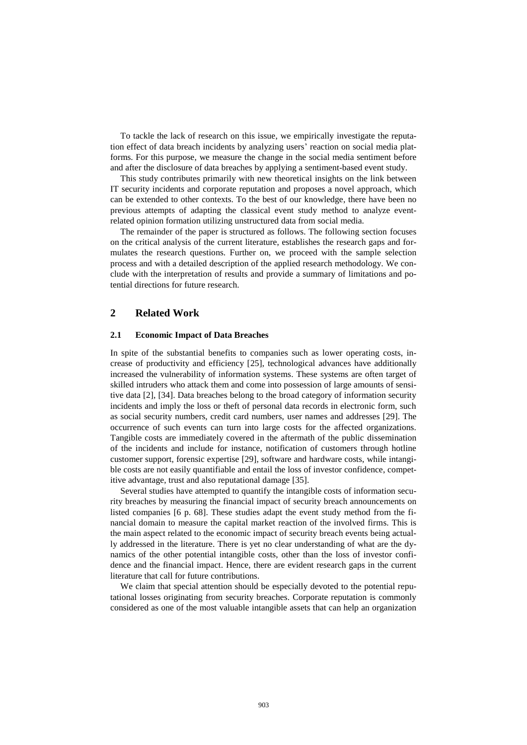To tackle the lack of research on this issue, we empirically investigate the reputation effect of data breach incidents by analyzing users' reaction on social media platforms. For this purpose, we measure the change in the social media sentiment before and after the disclosure of data breaches by applying a sentiment-based event study.

This study contributes primarily with new theoretical insights on the link between IT security incidents and corporate reputation and proposes a novel approach, which can be extended to other contexts. To the best of our knowledge, there have been no previous attempts of adapting the classical event study method to analyze eventrelated opinion formation utilizing unstructured data from social media.

The remainder of the paper is structured as follows. The following section focuses on the critical analysis of the current literature, establishes the research gaps and formulates the research questions. Further on, we proceed with the sample selection process and with a detailed description of the applied research methodology. We conclude with the interpretation of results and provide a summary of limitations and potential directions for future research.

## **2 Related Work**

## **2.1 Economic Impact of Data Breaches**

In spite of the substantial benefits to companies such as lower operating costs, increase of productivity and efficiency [\[25\]](#page-15-2), technological advances have additionally increased the vulnerability of information systems. These systems are often target of skilled intruders who attack them and come into possession of large amounts of sensitive data [\[2\]](#page-14-2), [\[34\]](#page-15-3). Data breaches belong to the broad category of information security incidents and imply the loss or theft of personal data records in electronic form, such as social security numbers, credit card numbers, user names and addresses [\[29\]](#page-15-4). The occurrence of such events can turn into large costs for the affected organizations. Tangible costs are immediately covered in the aftermath of the public dissemination of the incidents and include for instance, notification of customers through hotline customer support, forensic expertise [\[29\]](#page-15-4), software and hardware costs, while intangible costs are not easily quantifiable and entail the loss of investor confidence, competitive advantage, trust and also reputational damage [\[35\]](#page-15-1).

Several studies have attempted to quantify the intangible costs of information security breaches by measuring the financial impact of security breach announcements on listed companies [\[6](#page-14-3) p. 68]. These studies adapt the event study method from the financial domain to measure the capital market reaction of the involved firms. This is the main aspect related to the economic impact of security breach events being actually addressed in the literature. There is yet no clear understanding of what are the dynamics of the other potential intangible costs, other than the loss of investor confidence and the financial impact. Hence, there are evident research gaps in the current literature that call for future contributions.

We claim that special attention should be especially devoted to the potential reputational losses originating from security breaches. Corporate reputation is commonly considered as one of the most valuable intangible assets that can help an organization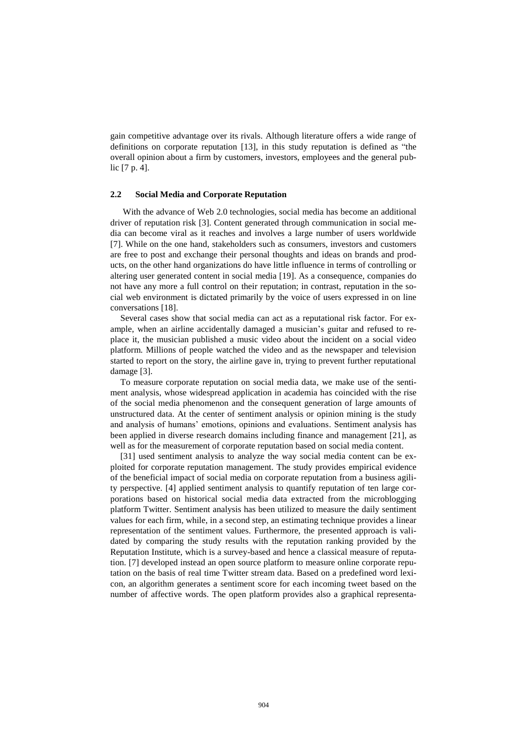gain competitive advantage over its rivals. Although literature offers a wide range of definitions on corporate reputation [\[13\]](#page-14-4), in this study reputation is defined as "the overall opinion about a firm by customers, investors, employees and the general public [\[7](#page-14-5) p. 4].

#### **2.2 Social Media and Corporate Reputation**

With the advance of Web 2.0 technologies, social media has become an additional driver of reputation risk [\[3\]](#page-14-6). Content generated through communication in social media can become viral as it reaches and involves a large number of users worldwide [\[7\]](#page-14-5). While on the one hand, stakeholders such as consumers, investors and customers are free to post and exchange their personal thoughts and ideas on brands and products, on the other hand organizations do have little influence in terms of controlling or altering user generated content in social media [\[19\]](#page-14-7). As a consequence, companies do not have any more a full control on their reputation; in contrast, reputation in the social web environment is dictated primarily by the voice of users expressed in on line conversations [\[18\]](#page-14-8).

Several cases show that social media can act as a reputational risk factor. For example, when an airline accidentally damaged a musician's guitar and refused to replace it, the musician published a music video about the incident on a social video platform. Millions of people watched the video and as the newspaper and television started to report on the story, the airline gave in, trying to prevent further reputational damage [\[3\]](#page-14-6).

To measure corporate reputation on social media data, we make use of the sentiment analysis, whose widespread application in academia has coincided with the rise of the social media phenomenon and the consequent generation of large amounts of unstructured data. At the center of sentiment analysis or opinion mining is the study and analysis of humans' emotions, opinions and evaluations. Sentiment analysis has been applied in diverse research domains including finance and management [\[21\]](#page-15-5), as well as for the measurement of corporate reputation based on social media content.

[\[31\]](#page-15-6) used sentiment analysis to analyze the way social media content can be exploited for corporate reputation management. The study provides empirical evidence of the beneficial impact of social media on corporate reputation from a business agility perspective. [\[4\]](#page-14-9) applied sentiment analysis to quantify reputation of ten large corporations based on historical social media data extracted from the microblogging platform Twitter. Sentiment analysis has been utilized to measure the daily sentiment values for each firm, while, in a second step, an estimating technique provides a linear representation of the sentiment values. Furthermore, the presented approach is validated by comparing the study results with the reputation ranking provided by the Reputation Institute, which is a survey-based and hence a classical measure of reputation. [\[7\]](#page-14-5) developed instead an open source platform to measure online corporate reputation on the basis of real time Twitter stream data. Based on a predefined word lexicon, an algorithm generates a sentiment score for each incoming tweet based on the number of affective words. The open platform provides also a graphical representa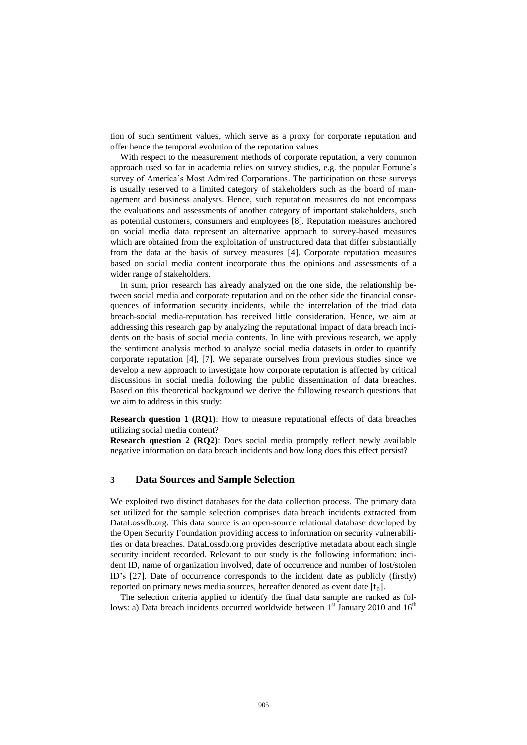tion of such sentiment values, which serve as a proxy for corporate reputation and offer hence the temporal evolution of the reputation values.

With respect to the measurement methods of corporate reputation, a very common approach used so far in academia relies on survey studies, e.g. the popular Fortune's survey of America's Most Admired Corporations. The participation on these surveys is usually reserved to a limited category of stakeholders such as the board of management and business analysts. Hence, such reputation measures do not encompass the evaluations and assessments of another category of important stakeholders, such as potential customers, consumers and employees [\[8\]](#page-14-10). Reputation measures anchored on social media data represent an alternative approach to survey-based measures which are obtained from the exploitation of unstructured data that differ substantially from the data at the basis of survey measures [\[4\]](#page-14-9). Corporate reputation measures based on social media content incorporate thus the opinions and assessments of a wider range of stakeholders.

In sum, prior research has already analyzed on the one side, the relationship between social media and corporate reputation and on the other side the financial consequences of information security incidents, while the interrelation of the triad data breach-social media-reputation has received little consideration. Hence, we aim at addressing this research gap by analyzing the reputational impact of data breach incidents on the basis of social media contents. In line with previous research, we apply the sentiment analysis method to analyze social media datasets in order to quantify corporate reputation [\[4\]](#page-14-9), [\[7\]](#page-14-5). We separate ourselves from previous studies since we develop a new approach to investigate how corporate reputation is affected by critical discussions in social media following the public dissemination of data breaches. Based on this theoretical background we derive the following research questions that we aim to address in this study:

**Research question 1 (RQ1)**: How to measure reputational effects of data breaches utilizing social media content?

**Research question 2 (RQ2)**: Does social media promptly reflect newly available negative information on data breach incidents and how long does this effect persist?

## **3 Data Sources and Sample Selection**

We exploited two distinct databases for the data collection process. The primary data set utilized for the sample selection comprises data breach incidents extracted from DataLossdb.org. This data source is an open-source relational database developed by the Open Security Foundation providing access to information on security vulnerabilities or data breaches. DataLossdb.org provides descriptive metadata about each single security incident recorded. Relevant to our study is the following information: incident ID, name of organization involved, date of occurrence and number of lost/stolen ID's [\[27\]](#page-15-7). Date of occurrence corresponds to the incident date as publicly (firstly) reported on primary news media sources, hereafter denoted as event date  $[t_0]$ .

The selection criteria applied to identify the final data sample are ranked as follows: a) Data breach incidents occurred worldwide between  $1<sup>st</sup>$  January 2010 and  $16<sup>th</sup>$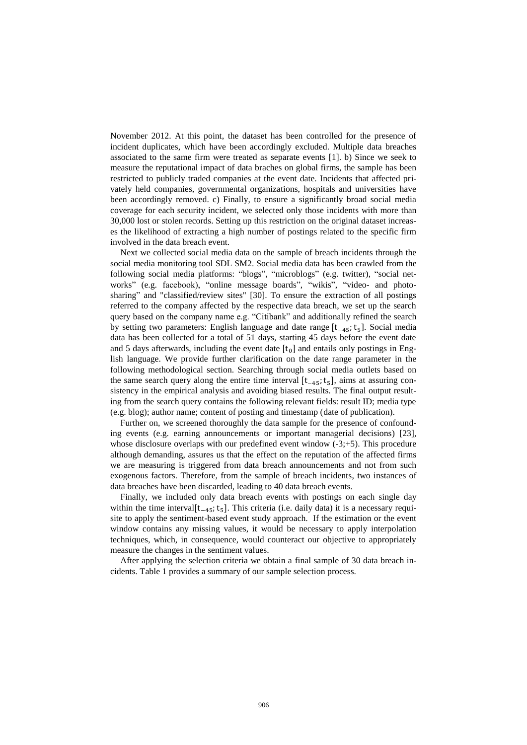November 2012. At this point, the dataset has been controlled for the presence of incident duplicates, which have been accordingly excluded. Multiple data breaches associated to the same firm were treated as separate events [\[1\]](#page-14-11). b) Since we seek to measure the reputational impact of data braches on global firms, the sample has been restricted to publicly traded companies at the event date. Incidents that affected privately held companies, governmental organizations, hospitals and universities have been accordingly removed. c) Finally, to ensure a significantly broad social media coverage for each security incident, we selected only those incidents with more than 30,000 lost or stolen records. Setting up this restriction on the original dataset increases the likelihood of extracting a high number of postings related to the specific firm involved in the data breach event.

Next we collected social media data on the sample of breach incidents through the social media monitoring tool SDL SM2. Social media data has been crawled from the following social media platforms: "blogs", "microblogs" (e.g. twitter), "social networks" (e.g. facebook), "online message boards", "wikis", "video- and photosharing" and "classified/review sites" [\[30\]](#page-15-8). To ensure the extraction of all postings referred to the company affected by the respective data breach, we set up the search query based on the company name e.g. "Citibank" and additionally refined the search by setting two parameters: English language and date range [t<sub>-45</sub>; t<sub>5</sub>]. Social media data has been collected for a total of 51 days, starting 45 days before the event date and 5 days afterwards, including the event date  $[t_0]$  and entails only postings in English language. We provide further clarification on the date range parameter in the following methodological section. Searching through social media outlets based on the same search query along the entire time interval [t−45; t<sup>5</sup> ], aims at assuring consistency in the empirical analysis and avoiding biased results. The final output resulting from the search query contains the following relevant fields: result ID; media type (e.g. blog); author name; content of posting and timestamp (date of publication).

Further on, we screened thoroughly the data sample for the presence of confounding events (e.g. earning announcements or important managerial decisions) [\[23\]](#page-15-9), whose disclosure overlaps with our predefined event window  $(-3;+5)$ . This procedure although demanding, assures us that the effect on the reputation of the affected firms we are measuring is triggered from data breach announcements and not from such exogenous factors. Therefore, from the sample of breach incidents, two instances of data breaches have been discarded, leading to 40 data breach events.

Finally, we included only data breach events with postings on each single day within the time interval[t<sub>−45</sub>; t<sub>5</sub>]. This criteria (i.e. daily data) it is a necessary requisite to apply the sentiment-based event study approach. If the estimation or the event window contains any missing values, it would be necessary to apply interpolation techniques, which, in consequence, would counteract our objective to appropriately measure the changes in the sentiment values.

After applying the selection criteria we obtain a final sample of 30 data breach incidents. Table 1 provides a summary of our sample selection process.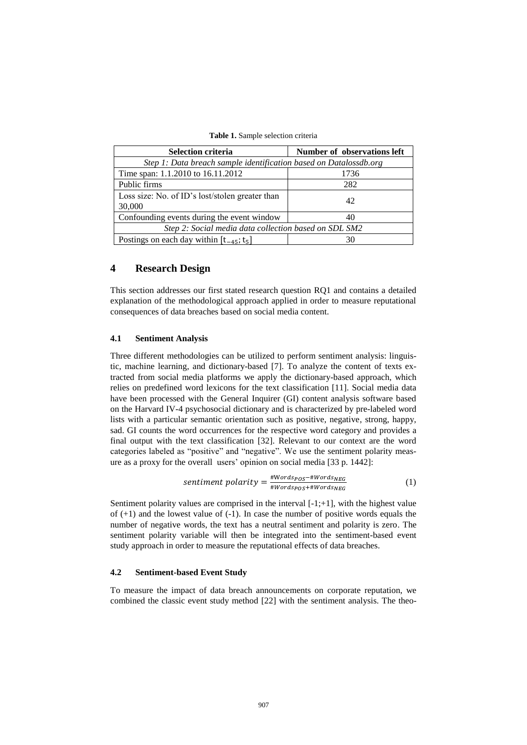|  |  |  |  | <b>Table 1.</b> Sample selection criteria |  |
|--|--|--|--|-------------------------------------------|--|
|--|--|--|--|-------------------------------------------|--|

| <b>Selection criteria</b>                                         | Number of observations left |  |  |  |  |
|-------------------------------------------------------------------|-----------------------------|--|--|--|--|
| Step 1: Data breach sample identification based on Datalossdb.org |                             |  |  |  |  |
| Time span: 1.1.2010 to 16.11.2012                                 | 1736                        |  |  |  |  |
| Public firms                                                      | 282                         |  |  |  |  |
| Loss size: No. of ID's lost/stolen greater than                   | 42                          |  |  |  |  |
| 30,000                                                            |                             |  |  |  |  |
| Confounding events during the event window<br>40                  |                             |  |  |  |  |
| Step 2: Social media data collection based on SDL SM2             |                             |  |  |  |  |
| Postings on each day within $[t_{-45}; t_5]$                      |                             |  |  |  |  |

## **4 Research Design**

This section addresses our first stated research question RQ1 and contains a detailed explanation of the methodological approach applied in order to measure reputational consequences of data breaches based on social media content.

## **4.1 Sentiment Analysis**

Three different methodologies can be utilized to perform sentiment analysis: linguistic, machine learning, and dictionary-based [\[7\]](#page-14-5). To analyze the content of texts extracted from social media platforms we apply the dictionary-based approach, which relies on predefined word lexicons for the text classification [\[11\]](#page-14-12). Social media data have been processed with the General Inquirer (GI) content analysis software based on the Harvard IV-4 psychosocial dictionary and is characterized by pre-labeled word lists with a particular semantic orientation such as positive, negative, strong, happy, sad. GI counts the word occurrences for the respective word category and provides a final output with the text classification [\[32\]](#page-15-10). Relevant to our context are the word categories labeled as "positive" and "negative". We use the sentiment polarity measure as a proxy for the overall users' opinion on social media [\[33](#page-15-11) p. 1442]:

$$
sentiment\ polarity = \frac{\#Words_{POS} + \#Words_{NEG}}{\#Words_{POS} + \#Words_{NEG}} \tag{1}
$$

Sentiment polarity values are comprised in the interval  $[-1;+1]$ , with the highest value of  $(+1)$  and the lowest value of  $(-1)$ . In case the number of positive words equals the number of negative words, the text has a neutral sentiment and polarity is zero. The sentiment polarity variable will then be integrated into the sentiment-based event study approach in order to measure the reputational effects of data breaches.

## **4.2 Sentiment-based Event Study**

To measure the impact of data breach announcements on corporate reputation, we combined the classic event study method [\[22\]](#page-15-12) with the sentiment analysis. The theo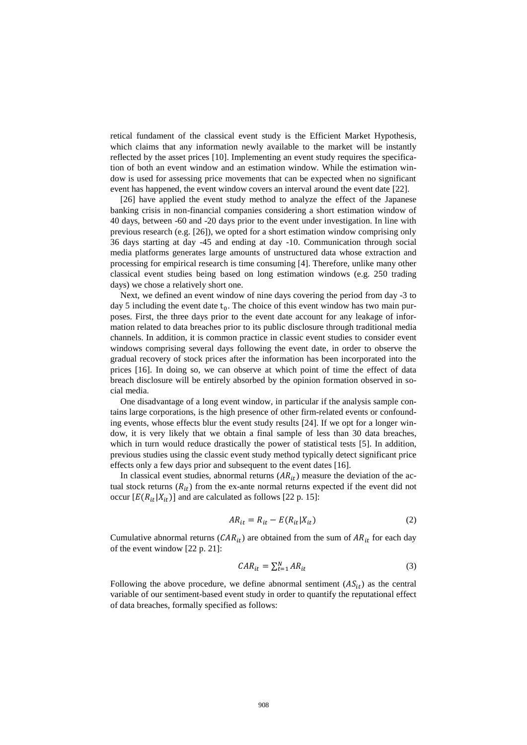retical fundament of the classical event study is the Efficient Market Hypothesis, which claims that any information newly available to the market will be instantly reflected by the asset prices [\[10\]](#page-14-13). Implementing an event study requires the specification of both an event window and an estimation window. While the estimation window is used for assessing price movements that can be expected when no significant event has happened, the event window covers an interval around the event date [\[22\]](#page-15-12).

[\[26\]](#page-15-13) have applied the event study method to analyze the effect of the Japanese banking crisis in non-financial companies considering a short estimation window of 40 days, between -60 and -20 days prior to the event under investigation. In line with previous research (e.g. [\[26\]](#page-15-13)), we opted for a short estimation window comprising only 36 days starting at day -45 and ending at day -10. Communication through social media platforms generates large amounts of unstructured data whose extraction and processing for empirical research is time consuming [\[4\]](#page-14-9). Therefore, unlike many other classical event studies being based on long estimation windows (e.g. 250 trading days) we chose a relatively short one.

Next, we defined an event window of nine days covering the period from day -3 to day 5 including the event date  $t_0$ . The choice of this event window has two main purposes. First, the three days prior to the event date account for any leakage of information related to data breaches prior to its public disclosure through traditional media channels. In addition, it is common practice in classic event studies to consider event windows comprising several days following the event date, in order to observe the gradual recovery of stock prices after the information has been incorporated into the prices [\[16\]](#page-14-14). In doing so, we can observe at which point of time the effect of data breach disclosure will be entirely absorbed by the opinion formation observed in social media.

One disadvantage of a long event window, in particular if the analysis sample contains large corporations, is the high presence of other firm-related events or confounding events, whose effects blur the event study results [\[24\]](#page-15-14). If we opt for a longer window, it is very likely that we obtain a final sample of less than 30 data breaches, which in turn would reduce drastically the power of statistical tests [\[5\]](#page-14-15). In addition, previous studies using the classic event study method typically detect significant price effects only a few days prior and subsequent to the event dates [\[16\]](#page-14-14).

In classical event studies, abnormal returns  $(AR_{it})$  measure the deviation of the actual stock returns  $(R_{it})$  from the ex-ante normal returns expected if the event did not occur  $[E(R_{it}|X_{it})]$  and are calculated as follows [\[22](#page-15-12) p. 15]:

$$
AR_{it} = R_{it} - E(R_{it}|X_{it})
$$
\n<sup>(2)</sup>

Cumulative abnormal returns ( $CAR_{it}$ ) are obtained from the sum of  $AR_{it}$  for each day of the event window [\[22](#page-15-12) p. 21]:

$$
CAR_{it} = \sum_{t=1}^{N} AR_{it}
$$
 (3)

Following the above procedure, we define abnormal sentiment  $(AS_{it})$  as the central variable of our sentiment-based event study in order to quantify the reputational effect of data breaches, formally specified as follows: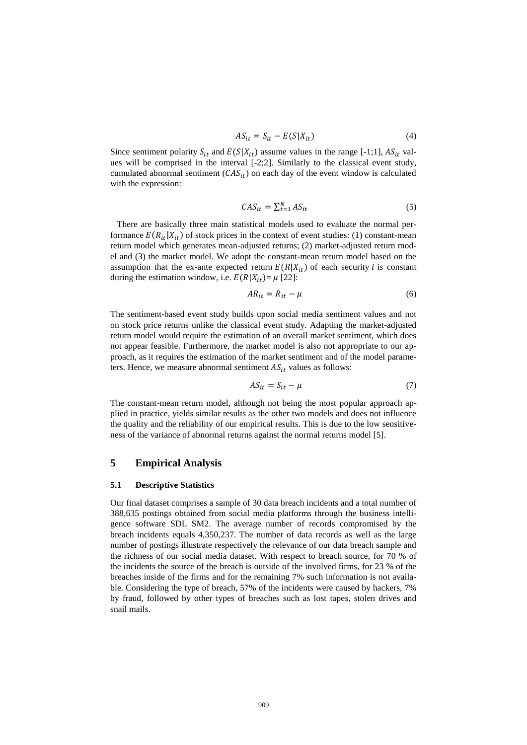$$
AS_{it} = S_{it} - E(S|X_{it})
$$
\n<sup>(4)</sup>

Since sentiment polarity  $S_{it}$  and  $E(S|X_{it})$  assume values in the range [-1;1],  $AS_{it}$  values will be comprised in the interval [-2;2]. Similarly to the classical event study, cumulated abnormal sentiment  $(CAS_{it})$  on each day of the event window is calculated with the expression:

$$
CAS_{it} = \sum_{t=1}^{N} AS_{it}
$$
 (5)

 There are basically three main statistical models used to evaluate the normal performance  $E(R_{it}|X_{it})$  of stock prices in the context of event studies: (1) constant-mean return model which generates mean-adjusted returns; (2) market-adjusted return model and (3) the market model. We adopt the constant-mean return model based on the assumption that the ex-ante expected return  $E(R|X_{it})$  of each security *i* is constant during the estimation window, i.e.  $E(R|X_{it}) = \mu$  [\[22\]](#page-15-12):

$$
AR_{it} = R_{it} - \mu \tag{6}
$$

The sentiment-based event study builds upon social media sentiment values and not on stock price returns unlike the classical event study. Adapting the market-adjusted return model would require the estimation of an overall market sentiment, which does not appear feasible. Furthermore, the market model is also not appropriate to our approach, as it requires the estimation of the market sentiment and of the model parameters. Hence, we measure abnormal sentiment  $AS_{it}$  values as follows:

$$
AS_{it} = S_{it} - \mu \tag{7}
$$

The constant-mean return model, although not being the most popular approach applied in practice, yields similar results as the other two models and does not influence the quality and the reliability of our empirical results. This is due to the low sensitiveness of the variance of abnormal returns against the normal returns model [\[5\]](#page-14-15).

## **5 Empirical Analysis**

#### **5.1 Descriptive Statistics**

Our final dataset comprises a sample of 30 data breach incidents and a total number of 388,635 postings obtained from social media platforms through the business intelligence software SDL SM2. The average number of records compromised by the breach incidents equals 4,350,237. The number of data records as well as the large number of postings illustrate respectively the relevance of our data breach sample and the richness of our social media dataset. With respect to breach source, for 70 % of the incidents the source of the breach is outside of the involved firms, for 23 % of the breaches inside of the firms and for the remaining 7% such information is not available. Considering the type of breach, 57% of the incidents were caused by hackers, 7% by fraud, followed by other types of breaches such as lost tapes, stolen drives and snail mails.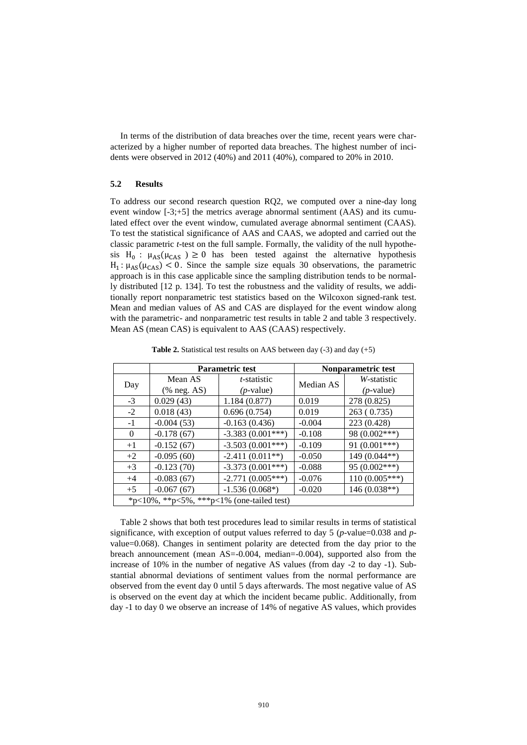In terms of the distribution of data breaches over the time, recent years were characterized by a higher number of reported data breaches. The highest number of incidents were observed in 2012 (40%) and 2011 (40%), compared to 20% in 2010.

## **5.2 Results**

To address our second research question RQ2, we computed over a nine-day long event window [-3;+5] the metrics average abnormal sentiment (AAS) and its cumulated effect over the event window, cumulated average abnormal sentiment (CAAS). To test the statistical significance of AAS and CAAS, we adopted and carried out the classic parametric *t*-test on the full sample. Formally, the validity of the null hypothesis H<sub>0</sub>:  $\mu_{AS}(\mu_{CAS} \geq 0)$  has been tested against the alternative hypothesis  $H_1$ :  $\mu_{AS}(\mu_{CAS})$  < 0. Since the sample size equals 30 observations, the parametric approach is in this case applicable since the sampling distribution tends to be normally distributed [\[12](#page-14-16) p. 134]. To test the robustness and the validity of results, we additionally report nonparametric test statistics based on the Wilcoxon signed-rank test. Mean and median values of AS and CAS are displayed for the event window along with the parametric- and nonparametric test results in table 2 and table 3 respectively. Mean AS (mean CAS) is equivalent to AAS (CAAS) respectively.

|                                           |                                        | <b>Parametric test</b> | Nonparametric test |                 |  |  |
|-------------------------------------------|----------------------------------------|------------------------|--------------------|-----------------|--|--|
| Day                                       | Mean AS                                | <i>t</i> -statistic    | Median AS          | W-statistic     |  |  |
|                                           | $(% \mathbf{A}\mathbf{S})$ (% neg. AS) | $(p$ -value)           |                    | $(p$ -value)    |  |  |
| $-3$                                      | 0.029(43)                              | 1.184(0.877)           | 0.019              | 278 (0.825)     |  |  |
| $-2$                                      | 0.018(43)                              | 0.696(0.754)           | 0.019              | 263 (0.735)     |  |  |
| $-1$                                      | $-0.004(53)$                           | $-0.163(0.436)$        | $-0.004$           | 223 (0.428)     |  |  |
| $\Omega$                                  | $-0.178(67)$                           | $-3.383(0.001***)$     | $-0.108$           | 98 (0.002***)   |  |  |
| $+1$                                      | $-0.152(67)$                           | $-3.503(0.001***)$     | $-0.109$           | 91 $(0.001***)$ |  |  |
| $+2$                                      | $-0.095(60)$                           | $-2.411(0.011**)$      | $-0.050$           | 149 (0.044**)   |  |  |
| $+3$                                      | $-0.123(70)$                           | $-3.373(0.001***)$     | $-0.088$           | $95(0.002***)$  |  |  |
| $+4$                                      | $-0.083(67)$                           | $-2.771(0.005***)$     | $-0.076$           | $110(0.005***)$ |  |  |
| $+5$                                      | $-0.067(67)$                           | $-1.536(0.068*)$       | $-0.020$           | $146(0.038**)$  |  |  |
| *p<10%, **p<5%, ***p<1% (one-tailed test) |                                        |                        |                    |                 |  |  |

**Table 2.** Statistical test results on AAS between day  $(-3)$  and day  $(+5)$ 

Table 2 shows that both test procedures lead to similar results in terms of statistical significance, with exception of output values referred to day 5 (*p*-value=0.038 and *p*value=0.068). Changes in sentiment polarity are detected from the day prior to the breach announcement (mean AS=-0.004, median=-0.004), supported also from the increase of 10% in the number of negative AS values (from day -2 to day -1). Substantial abnormal deviations of sentiment values from the normal performance are observed from the event day 0 until 5 days afterwards. The most negative value of AS is observed on the event day at which the incident became public. Additionally, from day -1 to day 0 we observe an increase of 14% of negative AS values, which provides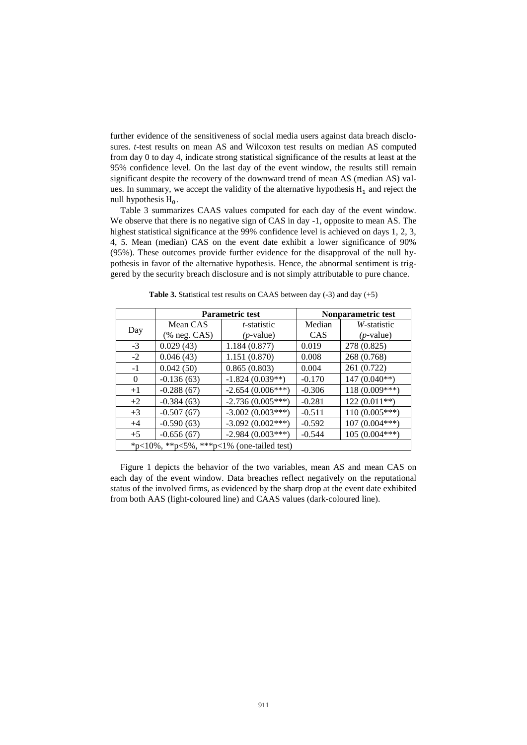further evidence of the sensitiveness of social media users against data breach disclosures. *t*-test results on mean AS and Wilcoxon test results on median AS computed from day 0 to day 4, indicate strong statistical significance of the results at least at the 95% confidence level. On the last day of the event window, the results still remain significant despite the recovery of the downward trend of mean AS (median AS) values. In summary, we accept the validity of the alternative hypothesis  $H_1$  and reject the null hypothesis  $H_0$ .

Table 3 summarizes CAAS values computed for each day of the event window. We observe that there is no negative sign of CAS in day -1, opposite to mean AS. The highest statistical significance at the 99% confidence level is achieved on days 1, 2, 3, 4, 5. Mean (median) CAS on the event date exhibit a lower significance of 90% (95%). These outcomes provide further evidence for the disapproval of the null hypothesis in favor of the alternative hypothesis. Hence, the abnormal sentiment is triggered by the security breach disclosure and is not simply attributable to pure chance.

|                                           |               | <b>Parametric test</b> | Nonparametric test |                 |  |  |
|-------------------------------------------|---------------|------------------------|--------------------|-----------------|--|--|
| Day                                       | Mean CAS      | <i>t</i> -statistic    | Median             | W-statistic     |  |  |
|                                           | $%$ neg. CAS) | $(p$ -value)           | CAS                | $(p$ -value)    |  |  |
| $-3$                                      | 0.029(43)     | 1.184(0.877)           | 0.019              | 278 (0.825)     |  |  |
| $-2$                                      | 0.046(43)     | 1.151 (0.870)          | 0.008              | 268 (0.768)     |  |  |
| $-1$                                      | 0.042(50)     | 0.865(0.803)           | 0.004              | 261 (0.722)     |  |  |
| $\Omega$                                  | $-0.136(63)$  | $-1.824(0.039**)$      | $-0.170$           | $147(0.040**)$  |  |  |
| $+1$                                      | $-0.288(67)$  | $-2.654(0.006***)$     | $-0.306$           | $118(0.009***)$ |  |  |
| $+2$                                      | $-0.384(63)$  | $-2.736(0.005***)$     | $-0.281$           | $122(0.011**)$  |  |  |
| $+3$                                      | $-0.507(67)$  | $-3.002(0.003***)$     | $-0.511$           | $110(0.005***)$ |  |  |
| $+4$                                      | $-0.590(63)$  | $-3.092(0.002***)$     | $-0.592$           | $107(0.004***)$ |  |  |
| $+5$                                      | $-0.656(67)$  | $-2.984(0.003***)$     | $-0.544$           | $105(0.004***)$ |  |  |
| *p<10%, **p<5%, ***p<1% (one-tailed test) |               |                        |                    |                 |  |  |

Table 3. Statistical test results on CAAS between day (-3) and day (+5)

Figure 1 depicts the behavior of the two variables, mean AS and mean CAS on each day of the event window. Data breaches reflect negatively on the reputational status of the involved firms, as evidenced by the sharp drop at the event date exhibited from both AAS (light-coloured line) and CAAS values (dark-coloured line).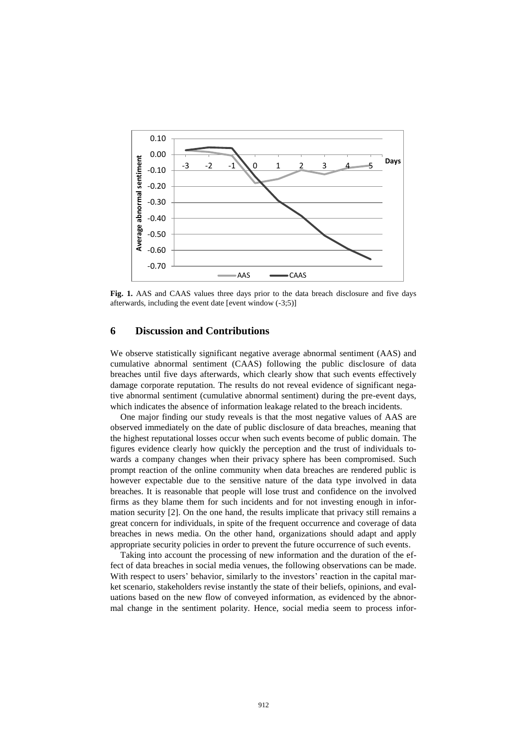

**Fig. 1.** AAS and CAAS values three days prior to the data breach disclosure and five days afterwards, including the event date [event window (-3;5)]

## **6 Discussion and Contributions**

We observe statistically significant negative average abnormal sentiment (AAS) and cumulative abnormal sentiment (CAAS) following the public disclosure of data breaches until five days afterwards, which clearly show that such events effectively damage corporate reputation. The results do not reveal evidence of significant negative abnormal sentiment (cumulative abnormal sentiment) during the pre-event days, which indicates the absence of information leakage related to the breach incidents.

One major finding our study reveals is that the most negative values of AAS are observed immediately on the date of public disclosure of data breaches, meaning that the highest reputational losses occur when such events become of public domain. The figures evidence clearly how quickly the perception and the trust of individuals towards a company changes when their privacy sphere has been compromised. Such prompt reaction of the online community when data breaches are rendered public is however expectable due to the sensitive nature of the data type involved in data breaches. It is reasonable that people will lose trust and confidence on the involved firms as they blame them for such incidents and for not investing enough in information security [\[2\]](#page-14-2). On the one hand, the results implicate that privacy still remains a great concern for individuals, in spite of the frequent occurrence and coverage of data breaches in news media. On the other hand, organizations should adapt and apply appropriate security policies in order to prevent the future occurrence of such events.

Taking into account the processing of new information and the duration of the effect of data breaches in social media venues, the following observations can be made. With respect to users' behavior, similarly to the investors' reaction in the capital market scenario, stakeholders revise instantly the state of their beliefs, opinions, and evaluations based on the new flow of conveyed information, as evidenced by the abnormal change in the sentiment polarity. Hence, social media seem to process infor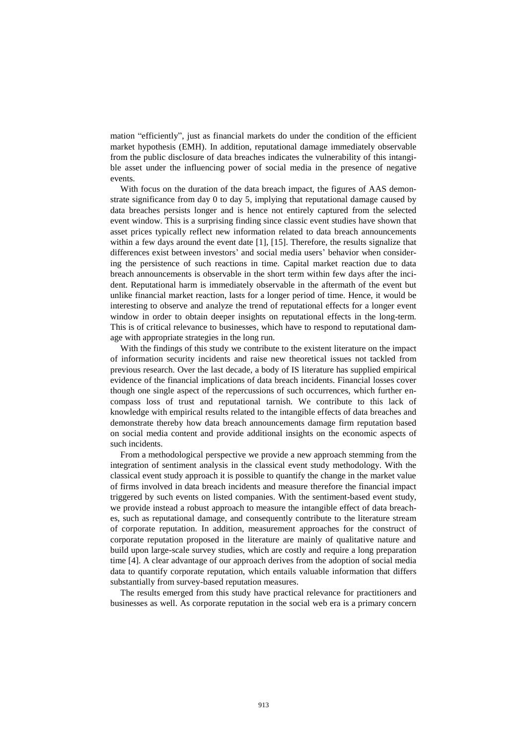mation "efficiently", just as financial markets do under the condition of the efficient market hypothesis (EMH). In addition, reputational damage immediately observable from the public disclosure of data breaches indicates the vulnerability of this intangible asset under the influencing power of social media in the presence of negative events.

With focus on the duration of the data breach impact, the figures of AAS demonstrate significance from day 0 to day 5, implying that reputational damage caused by data breaches persists longer and is hence not entirely captured from the selected event window. This is a surprising finding since classic event studies have shown that asset prices typically reflect new information related to data breach announcements within a few days around the event date [\[1\]](#page-14-11), [\[15\]](#page-14-17). Therefore, the results signalize that differences exist between investors' and social media users' behavior when considering the persistence of such reactions in time. Capital market reaction due to data breach announcements is observable in the short term within few days after the incident. Reputational harm is immediately observable in the aftermath of the event but unlike financial market reaction, lasts for a longer period of time. Hence, it would be interesting to observe and analyze the trend of reputational effects for a longer event window in order to obtain deeper insights on reputational effects in the long-term. This is of critical relevance to businesses, which have to respond to reputational damage with appropriate strategies in the long run.

With the findings of this study we contribute to the existent literature on the impact of information security incidents and raise new theoretical issues not tackled from previous research. Over the last decade, a body of IS literature has supplied empirical evidence of the financial implications of data breach incidents. Financial losses cover though one single aspect of the repercussions of such occurrences, which further encompass loss of trust and reputational tarnish. We contribute to this lack of knowledge with empirical results related to the intangible effects of data breaches and demonstrate thereby how data breach announcements damage firm reputation based on social media content and provide additional insights on the economic aspects of such incidents.

From a methodological perspective we provide a new approach stemming from the integration of sentiment analysis in the classical event study methodology. With the classical event study approach it is possible to quantify the change in the market value of firms involved in data breach incidents and measure therefore the financial impact triggered by such events on listed companies. With the sentiment-based event study, we provide instead a robust approach to measure the intangible effect of data breaches, such as reputational damage, and consequently contribute to the literature stream of corporate reputation. In addition, measurement approaches for the construct of corporate reputation proposed in the literature are mainly of qualitative nature and build upon large-scale survey studies, which are costly and require a long preparation time [\[4\]](#page-14-9). A clear advantage of our approach derives from the adoption of social media data to quantify corporate reputation, which entails valuable information that differs substantially from survey-based reputation measures.

The results emerged from this study have practical relevance for practitioners and businesses as well. As corporate reputation in the social web era is a primary concern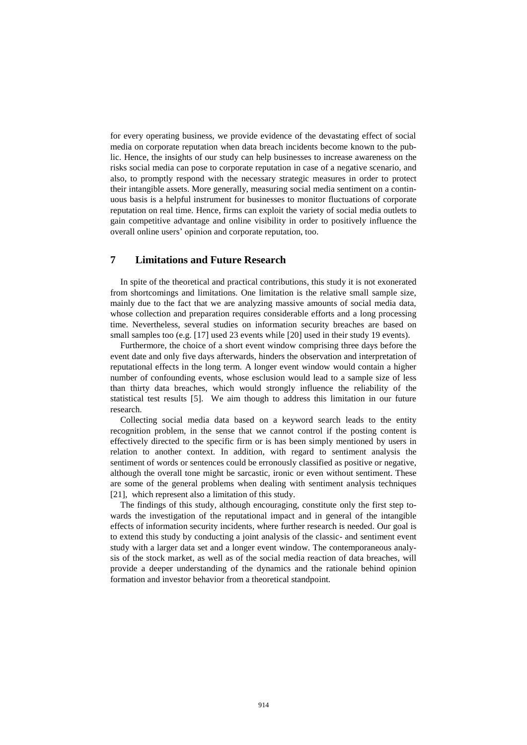for every operating business, we provide evidence of the devastating effect of social media on corporate reputation when data breach incidents become known to the public. Hence, the insights of our study can help businesses to increase awareness on the risks social media can pose to corporate reputation in case of a negative scenario, and also, to promptly respond with the necessary strategic measures in order to protect their intangible assets. More generally, measuring social media sentiment on a continuous basis is a helpful instrument for businesses to monitor fluctuations of corporate reputation on real time. Hence, firms can exploit the variety of social media outlets to gain competitive advantage and online visibility in order to positively influence the overall online users' opinion and corporate reputation, too.

## **7 Limitations and Future Research**

In spite of the theoretical and practical contributions, this study it is not exonerated from shortcomings and limitations. One limitation is the relative small sample size, mainly due to the fact that we are analyzing massive amounts of social media data, whose collection and preparation requires considerable efforts and a long processing time. Nevertheless, several studies on information security breaches are based on small samples too (e.g. [\[17\]](#page-14-18) used 23 events while [\[20\]](#page-15-15) used in their study 19 events).

Furthermore, the choice of a short event window comprising three days before the event date and only five days afterwards, hinders the observation and interpretation of reputational effects in the long term. A longer event window would contain a higher number of confounding events, whose esclusion would lead to a sample size of less than thirty data breaches, which would strongly influence the reliability of the statistical test results [\[5\]](#page-14-15). We aim though to address this limitation in our future research.

Collecting social media data based on a keyword search leads to the entity recognition problem, in the sense that we cannot control if the posting content is effectively directed to the specific firm or is has been simply mentioned by users in relation to another context. In addition, with regard to sentiment analysis the sentiment of words or sentences could be erronously classified as positive or negative, although the overall tone might be sarcastic, ironic or even without sentiment. These are some of the general problems when dealing with sentiment analysis techniques [\[21\]](#page-15-5), which represent also a limitation of this study.

The findings of this study, although encouraging, constitute only the first step towards the investigation of the reputational impact and in general of the intangible effects of information security incidents, where further research is needed. Our goal is to extend this study by conducting a joint analysis of the classic- and sentiment event study with a larger data set and a longer event window. The contemporaneous analysis of the stock market, as well as of the social media reaction of data breaches, will provide a deeper understanding of the dynamics and the rationale behind opinion formation and investor behavior from a theoretical standpoint.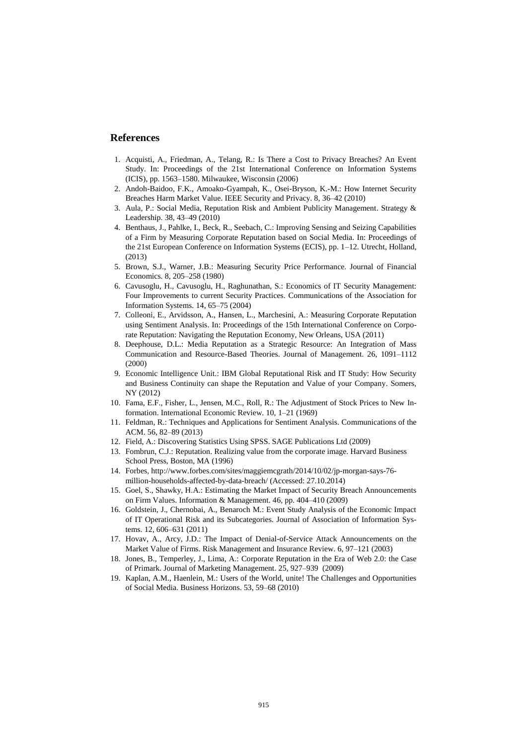## **References**

- <span id="page-14-11"></span>1. Acquisti, A., Friedman, A., Telang, R.: Is There a Cost to Privacy Breaches? An Event Study. In: Proceedings of the 21st International Conference on Information Systems (ICIS), pp. 1563–1580. Milwaukee, Wisconsin (2006)
- <span id="page-14-2"></span>2. Andoh-Baidoo, F.K., Amoako-Gyampah, K., Osei-Bryson, K.-M.: How Internet Security Breaches Harm Market Value. IEEE Security and Privacy. 8, 36–42 (2010)
- <span id="page-14-6"></span>3. Aula, P.: Social Media, Reputation Risk and Ambient Publicity Management. Strategy & Leadership. 38, 43–49 (2010)
- <span id="page-14-9"></span>4. Benthaus, J., Pahlke, I., Beck, R., Seebach, C.: Improving Sensing and Seizing Capabilities of a Firm by Measuring Corporate Reputation based on Social Media. In: Proceedings of the 21st European Conference on Information Systems (ECIS), pp. 1–12. Utrecht, Holland, (2013)
- <span id="page-14-15"></span>5. Brown, S.J., Warner, J.B.: Measuring Security Price Performance. Journal of Financial Economics. 8, 205–258 (1980)
- <span id="page-14-3"></span>6. Cavusoglu, H., Cavusoglu, H., Raghunathan, S.: Economics of IT Security Management: Four Improvements to current Security Practices. Communications of the Association for Information Systems. 14, 65–75 (2004)
- <span id="page-14-5"></span>7. Colleoni, E., Arvidsson, A., Hansen, L., Marchesini, A.: Measuring Corporate Reputation using Sentiment Analysis. In: Proceedings of the 15th International Conference on Corporate Reputation: Navigating the Reputation Economy, New Orleans, USA (2011)
- <span id="page-14-10"></span>8. Deephouse, D.L.: Media Reputation as a Strategic Resource: An Integration of Mass Communication and Resource-Based Theories. Journal of Management. 26, 1091–1112 (2000)
- <span id="page-14-1"></span>9. Economic Intelligence Unit.: IBM Global Reputational Risk and IT Study: How Security and Business Continuity can shape the Reputation and Value of your Company. Somers, NY (2012)
- <span id="page-14-13"></span>10. Fama, E.F., Fisher, L., Jensen, M.C., Roll, R.: The Adjustment of Stock Prices to New Information. International Economic Review. 10, 1–21 (1969)
- <span id="page-14-12"></span>11. Feldman, R.: Techniques and Applications for Sentiment Analysis. Communications of the ACM. 56, 82–89 (2013)
- <span id="page-14-16"></span>12. Field, A.: Discovering Statistics Using SPSS. SAGE Publications Ltd (2009)
- <span id="page-14-4"></span>13. Fombrun, C.J.: Reputation. Realizing value from the corporate image. Harvard Business School Press, Boston, MA (1996)
- <span id="page-14-0"></span>14. Forbes[, http://www.forbes.com/sites/maggiemcgrath/2014/10/02/jp-morgan-says-76](http://www.forbes.com/sites/maggiemcgrath/2014/10/02/jp-morgan-says-76-million-households-affected-by-data-breach/) [million-households-affected-by-data-breach/](http://www.forbes.com/sites/maggiemcgrath/2014/10/02/jp-morgan-says-76-million-households-affected-by-data-breach/) (Accessed: 27.10.2014)
- <span id="page-14-17"></span>15. Goel, S., Shawky, H.A.: Estimating the Market Impact of Security Breach Announcements on Firm Values. Information & Management. 46, pp. 404–410 (2009)
- <span id="page-14-14"></span>16. Goldstein, J., Chernobai, A., Benaroch M.: Event Study Analysis of the Economic Impact of IT Operational Risk and its Subcategories. Journal of Association of Information Systems. 12, 606–631 (2011)
- <span id="page-14-18"></span>17. Hovav, A., Arcy, J.D.: The Impact of Denial-of-Service Attack Announcements on the Market Value of Firms. Risk Management and Insurance Review. 6, 97–121 (2003)
- <span id="page-14-8"></span>18. Jones, B., Temperley, J., Lima, A.: Corporate Reputation in the Era of Web 2.0: the Case of Primark. Journal of Marketing Management. 25, 927–939 (2009)
- <span id="page-14-7"></span>19. Kaplan, A.M., Haenlein, M.: Users of the World, unite! The Challenges and Opportunities of Social Media. Business Horizons. 53, 59–68 (2010)